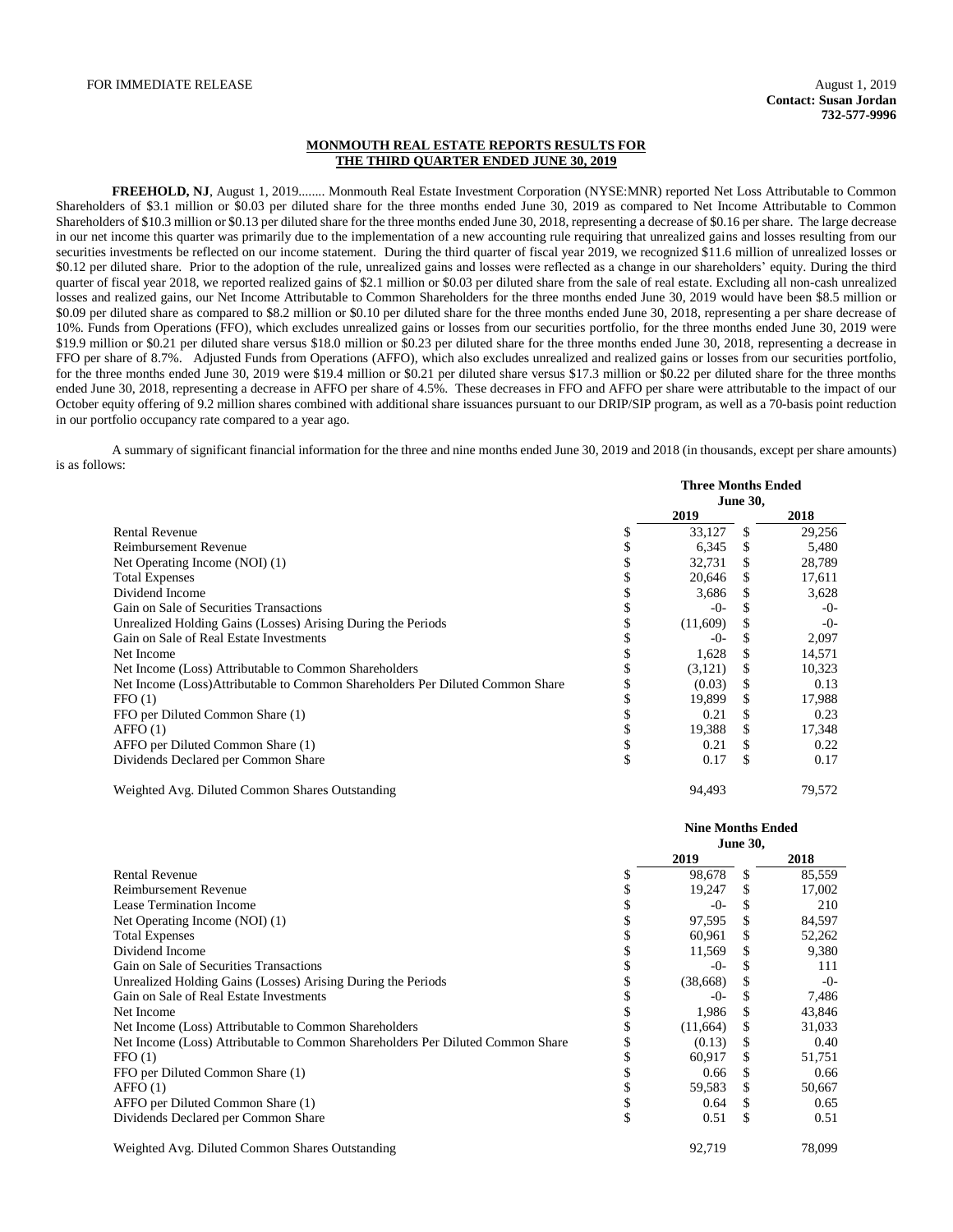## **MONMOUTH REAL ESTATE REPORTS RESULTS FOR THE THIRD QUARTER ENDED JUNE 30, 2019**

**FREEHOLD, NJ**, August 1, 2019........ Monmouth Real Estate Investment Corporation (NYSE:MNR) reported Net Loss Attributable to Common Shareholders of \$3.1 million or \$0.03 per diluted share for the three months ended June 30, 2019 as compared to Net Income Attributable to Common Shareholders of \$10.3 million or \$0.13 per diluted share for the three months ended June 30, 2018, representing a decrease of \$0.16 per share. The large decrease in our net income this quarter was primarily due to the implementation of a new accounting rule requiring that unrealized gains and losses resulting from our securities investments be reflected on our income statement. During the third quarter of fiscal year 2019, we recognized \$11.6 million of unrealized losses or \$0.12 per diluted share. Prior to the adoption of the rule, unrealized gains and losses were reflected as a change in our shareholders' equity. During the third quarter of fiscal year 2018, we reported realized gains of \$2.1 million or \$0.03 per diluted share from the sale of real estate. Excluding all non-cash unrealized losses and realized gains, our Net Income Attributable to Common Shareholders for the three months ended June 30, 2019 would have been \$8.5 million or \$0.09 per diluted share as compared to \$8.2 million or \$0.10 per diluted share for the three months ended June 30, 2018, representing a per share decrease of 10%. Funds from Operations (FFO), which excludes unrealized gains or losses from our securities portfolio, for the three months ended June 30, 2019 were \$19.9 million or \$0.21 per diluted share versus \$18.0 million or \$0.23 per diluted share for the three months ended June 30, 2018, representing a decrease in FFO per share of 8.7%. Adjusted Funds from Operations (AFFO), which also excludes unrealized and realized gains or losses from our securities portfolio, for the three months ended June 30, 2019 were \$19.4 million or \$0.21 per diluted share versus \$17.3 million or \$0.22 per diluted share for the three months ended June 30, 2018, representing a decrease in AFFO per share of 4.5%. These decreases in FFO and AFFO per share were attributable to the impact of our October equity offering of 9.2 million shares combined with additional share issuances pursuant to our DRIP/SIP program, as well as a 70-basis point reduction in our portfolio occupancy rate compared to a year ago.

A summary of significant financial information for the three and nine months ended June 30, 2019 and 2018 (in thousands, except per share amounts) is as follows:

|                                                                                |    | <b>Three Months Ended</b><br><b>June 30,</b> |          |         |
|--------------------------------------------------------------------------------|----|----------------------------------------------|----------|---------|
|                                                                                |    | 2019                                         |          | 2018    |
| Rental Revenue                                                                 | ъ. | 33,127                                       | \$.      | 29,256  |
| Reimbursement Revenue                                                          |    | 6,345                                        | -S       | 5,480   |
| Net Operating Income (NOI) (1)                                                 |    | 32,731                                       |          | 28,789  |
| <b>Total Expenses</b>                                                          |    | 20.646                                       |          | 17,611  |
| Dividend Income                                                                |    | 3,686                                        |          | 3,628   |
| Gain on Sale of Securities Transactions                                        |    | -0-                                          |          | $-()$ - |
| Unrealized Holding Gains (Losses) Arising During the Periods                   |    | (11,609)                                     |          | $-()$ - |
| Gain on Sale of Real Estate Investments                                        |    | $-()$ -                                      |          | 2.097   |
| Net Income                                                                     |    | 1,628                                        |          | 14,571  |
| Net Income (Loss) Attributable to Common Shareholders                          |    | (3,121)                                      |          | 10,323  |
| Net Income (Loss) Attributable to Common Shareholders Per Diluted Common Share |    | (0.03)                                       | S        | 0.13    |
| FFO(1)                                                                         |    | 19.899                                       | <b>S</b> | 17.988  |
| FFO per Diluted Common Share (1)                                               |    | 0.21                                         |          | 0.23    |
| AFFO(1)                                                                        |    | 19,388                                       |          | 17,348  |
| AFFO per Diluted Common Share (1)                                              |    | 0.21                                         |          | 0.22    |
| Dividends Declared per Common Share                                            |    | 0.17                                         | \$.      | 0.17    |
|                                                                                |    |                                              |          |         |

Weighted Avg. Diluted Common Shares Outstanding 88 and 19,572 8 and 19,572 8 and 19,572

|                                                                                | <b>Nine Months Ended</b> |  |         |
|--------------------------------------------------------------------------------|--------------------------|--|---------|
|                                                                                | <b>June 30,</b>          |  |         |
|                                                                                | 2019                     |  | 2018    |
| <b>Rental Revenue</b>                                                          | \$<br>98,678             |  | 85,559  |
| Reimbursement Revenue                                                          | 19,247                   |  | 17,002  |
| Lease Termination Income                                                       | $-0-$                    |  | 210     |
| Net Operating Income (NOI) (1)                                                 | 97,595                   |  | 84,597  |
| <b>Total Expenses</b>                                                          | 60,961                   |  | 52,262  |
| Dividend Income                                                                | 11,569                   |  | 9,380   |
| Gain on Sale of Securities Transactions                                        | -0-                      |  | 111     |
| Unrealized Holding Gains (Losses) Arising During the Periods                   | (38,668)                 |  | $-()$ - |
| Gain on Sale of Real Estate Investments                                        | $-0-$                    |  | 7,486   |
| Net Income                                                                     | 1,986                    |  | 43,846  |
| Net Income (Loss) Attributable to Common Shareholders                          | (11,664)                 |  | 31,033  |
| Net Income (Loss) Attributable to Common Shareholders Per Diluted Common Share | (0.13)                   |  | 0.40    |
| FFO(1)                                                                         | 60,917                   |  | 51,751  |
| FFO per Diluted Common Share (1)                                               | 0.66                     |  | 0.66    |
| AFFO(1)                                                                        | 59,583                   |  | 50,667  |
| AFFO per Diluted Common Share (1)                                              | 0.64                     |  | 0.65    |
| Dividends Declared per Common Share                                            | \$<br>0.51               |  | 0.51    |
| Weighted Avg. Diluted Common Shares Outstanding                                | 92,719                   |  | 78,099  |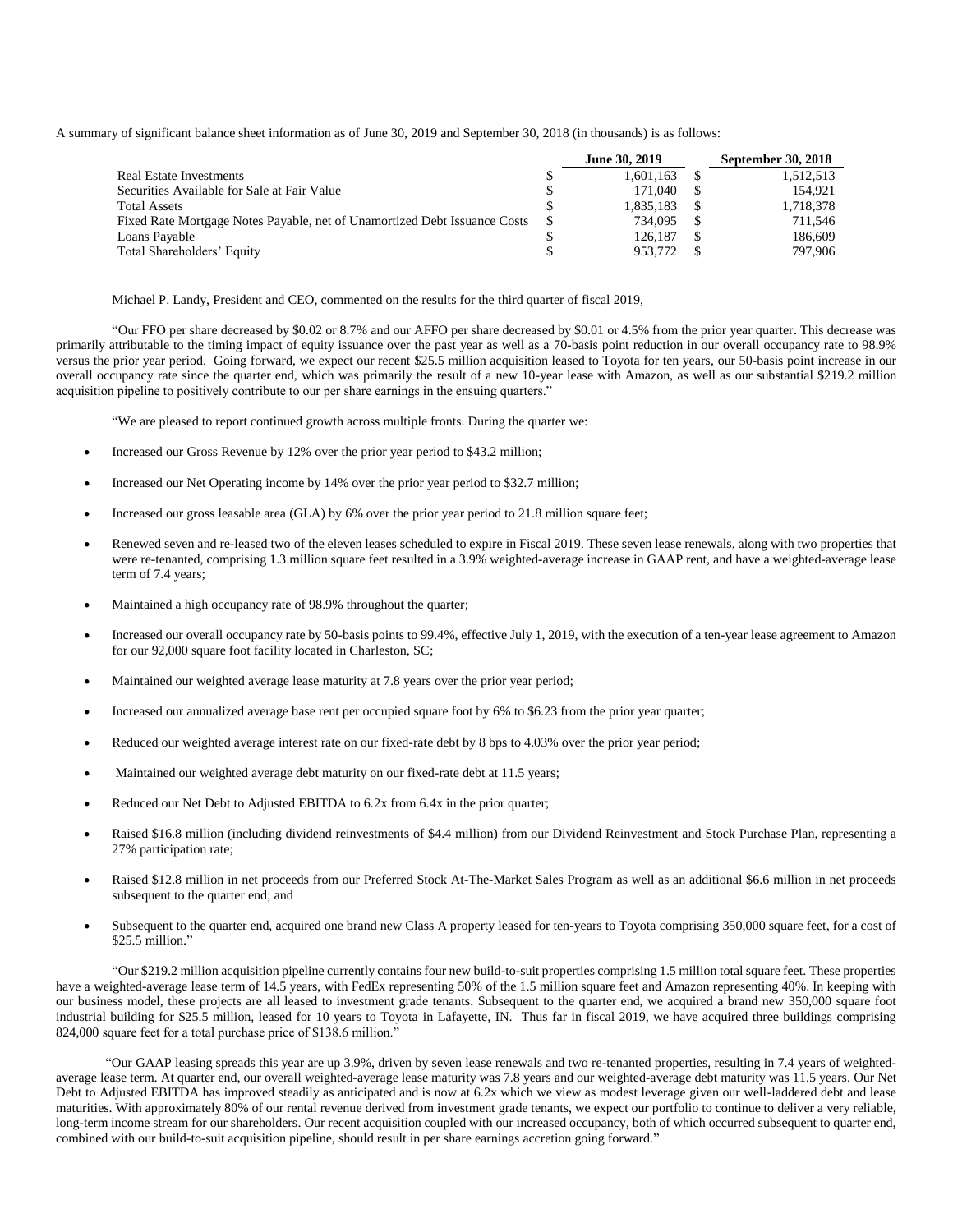A summary of significant balance sheet information as of June 30, 2019 and September 30, 2018 (in thousands) is as follows:

|                                                                           | <b>June 30, 2019</b> | <b>September 30, 2018</b> |
|---------------------------------------------------------------------------|----------------------|---------------------------|
| Real Estate Investments                                                   | 1.601.163            | 1.512.513                 |
| Securities Available for Sale at Fair Value                               | 171.040              | 154.921                   |
| <b>Total Assets</b>                                                       | 1.835.183            | 1,718,378                 |
| Fixed Rate Mortgage Notes Payable, net of Unamortized Debt Issuance Costs | 734.095              | 711.546                   |
| Loans Payable                                                             | 126.187              | 186,609                   |
| Total Shareholders' Equity                                                | 953.772              | 797.906                   |

Michael P. Landy, President and CEO, commented on the results for the third quarter of fiscal 2019,

"Our FFO per share decreased by \$0.02 or 8.7% and our AFFO per share decreased by \$0.01 or 4.5% from the prior year quarter. This decrease was primarily attributable to the timing impact of equity issuance over the past year as well as a 70-basis point reduction in our overall occupancy rate to 98.9% versus the prior year period. Going forward, we expect our recent \$25.5 million acquisition leased to Toyota for ten years, our 50-basis point increase in our overall occupancy rate since the quarter end, which was primarily the result of a new 10-year lease with Amazon, as well as our substantial \$219.2 million acquisition pipeline to positively contribute to our per share earnings in the ensuing quarters."

"We are pleased to report continued growth across multiple fronts. During the quarter we:

- Increased our Gross Revenue by 12% over the prior year period to \$43.2 million;
- Increased our Net Operating income by 14% over the prior year period to \$32.7 million;
- Increased our gross leasable area (GLA) by 6% over the prior year period to 21.8 million square feet;
- Renewed seven and re-leased two of the eleven leases scheduled to expire in Fiscal 2019. These seven lease renewals, along with two properties that were re-tenanted, comprising 1.3 million square feet resulted in a 3.9% weighted-average increase in GAAP rent, and have a weighted-average lease term of 7.4 years;
- Maintained a high occupancy rate of 98.9% throughout the quarter;
- Increased our overall occupancy rate by 50-basis points to 99.4%, effective July 1, 2019, with the execution of a ten-year lease agreement to Amazon for our 92,000 square foot facility located in Charleston, SC;
- Maintained our weighted average lease maturity at 7.8 years over the prior year period;
- Increased our annualized average base rent per occupied square foot by 6% to \$6.23 from the prior year quarter;
- Reduced our weighted average interest rate on our fixed-rate debt by 8 bps to 4.03% over the prior year period;
- Maintained our weighted average debt maturity on our fixed-rate debt at 11.5 years;
- Reduced our Net Debt to Adjusted EBITDA to 6.2x from 6.4x in the prior quarter;
- Raised \$16.8 million (including dividend reinvestments of \$4.4 million) from our Dividend Reinvestment and Stock Purchase Plan, representing a 27% participation rate;
- Raised \$12.8 million in net proceeds from our Preferred Stock At-The-Market Sales Program as well as an additional \$6.6 million in net proceeds subsequent to the quarter end; and
- Subsequent to the quarter end, acquired one brand new Class A property leased for ten-years to Toyota comprising 350,000 square feet, for a cost of \$25.5 million."

"Our \$219.2 million acquisition pipeline currently contains four new build-to-suit properties comprising 1.5 million total square feet. These properties have a weighted-average lease term of 14.5 years, with FedEx representing 50% of the 1.5 million square feet and Amazon representing 40%. In keeping with our business model, these projects are all leased to investment grade tenants. Subsequent to the quarter end, we acquired a brand new 350,000 square foot industrial building for \$25.5 million, leased for 10 years to Toyota in Lafayette, IN. Thus far in fiscal 2019, we have acquired three buildings comprising 824,000 square feet for a total purchase price of \$138.6 million."

 "Our GAAP leasing spreads this year are up 3.9%, driven by seven lease renewals and two re-tenanted properties, resulting in 7.4 years of weightedaverage lease term. At quarter end, our overall weighted-average lease maturity was 7.8 years and our weighted-average debt maturity was 11.5 years. Our Net Debt to Adjusted EBITDA has improved steadily as anticipated and is now at 6.2x which we view as modest leverage given our well-laddered debt and lease maturities. With approximately 80% of our rental revenue derived from investment grade tenants, we expect our portfolio to continue to deliver a very reliable, long-term income stream for our shareholders. Our recent acquisition coupled with our increased occupancy, both of which occurred subsequent to quarter end, combined with our build-to-suit acquisition pipeline, should result in per share earnings accretion going forward."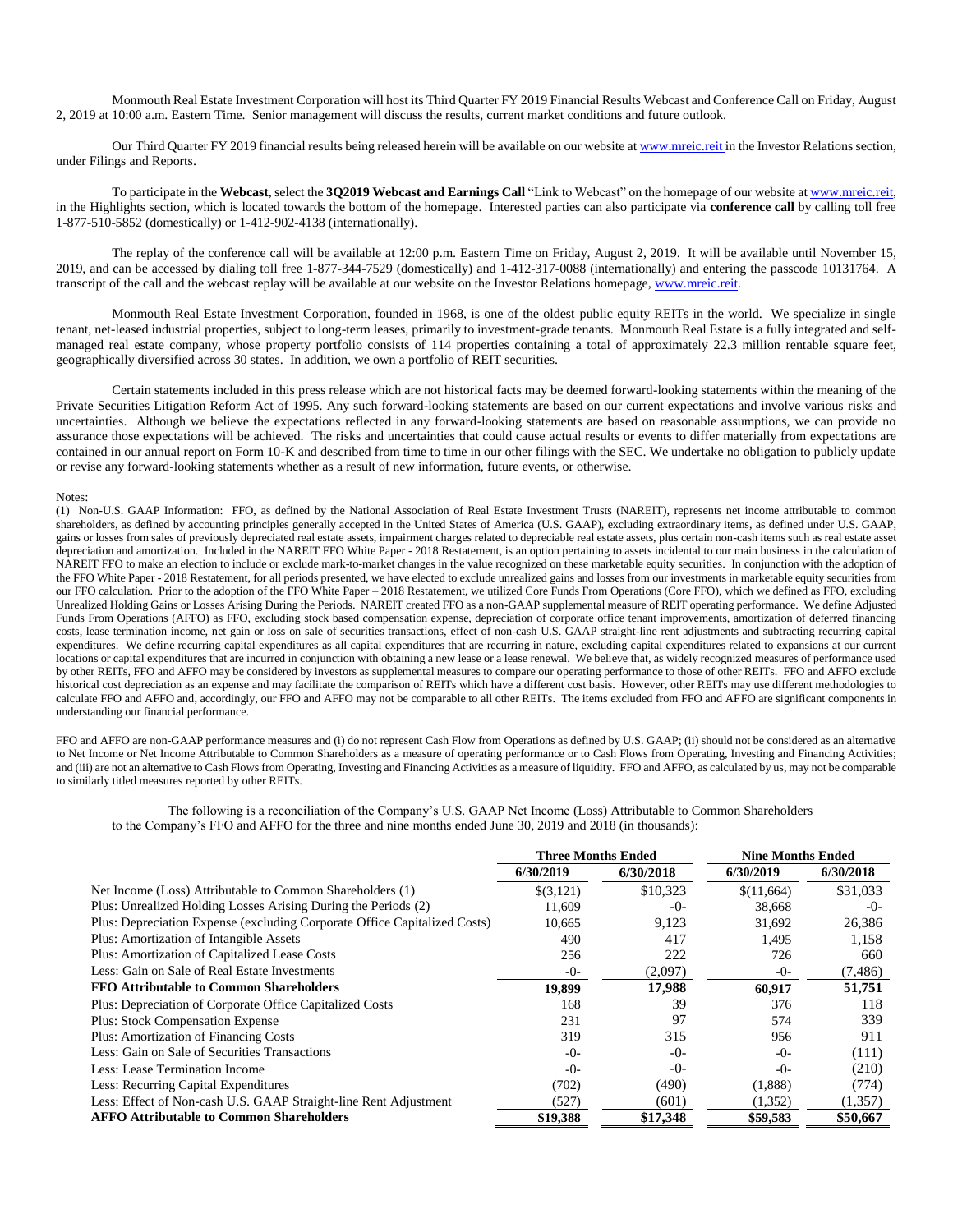Monmouth Real Estate Investment Corporation will host its Third Quarter FY 2019 Financial Results Webcast and Conference Call on Friday, August 2, 2019 at 10:00 a.m. Eastern Time. Senior management will discuss the results, current market conditions and future outlook.

Our Third Quarter FY 2019 financial results being released herein will be available on our website a[t www.mreic.reit](http://www.mreic.reit/) in the Investor Relations section, under Filings and Reports.

To participate in the **Webcast**, select the **3Q2019 Webcast and Earnings Call** "Link to Webcast" on the homepage of our website a[t www.mreic.reit,](http://www.mreic.reit/) in the Highlights section, which is located towards the bottom of the homepage. Interested parties can also participate via **conference call** by calling toll free 1-877-510-5852 (domestically) or 1-412-902-4138 (internationally).

The replay of the conference call will be available at 12:00 p.m. Eastern Time on Friday, August 2, 2019. It will be available until November 15, 2019, and can be accessed by dialing toll free 1-877-344-7529 (domestically) and 1-412-317-0088 (internationally) and entering the passcode 10131764. A transcript of the call and the webcast replay will be available at our website on the Investor Relations homepage[, www.mreic.reit.](http://www.mreic.reit/)

Monmouth Real Estate Investment Corporation, founded in 1968, is one of the oldest public equity REITs in the world. We specialize in single tenant, net-leased industrial properties, subject to long-term leases, primarily to investment-grade tenants. Monmouth Real Estate is a fully integrated and selfmanaged real estate company, whose property portfolio consists of 114 properties containing a total of approximately 22.3 million rentable square feet, geographically diversified across 30 states. In addition, we own a portfolio of REIT securities.

Certain statements included in this press release which are not historical facts may be deemed forward-looking statements within the meaning of the Private Securities Litigation Reform Act of 1995. Any such forward-looking statements are based on our current expectations and involve various risks and uncertainties. Although we believe the expectations reflected in any forward-looking statements are based on reasonable assumptions, we can provide no assurance those expectations will be achieved. The risks and uncertainties that could cause actual results or events to differ materially from expectations are contained in our annual report on Form 10-K and described from time to time in our other filings with the SEC. We undertake no obligation to publicly update or revise any forward-looking statements whether as a result of new information, future events, or otherwise.

## Notes:

(1) Non-U.S. GAAP Information: FFO, as defined by the National Association of Real Estate Investment Trusts (NAREIT), represents net income attributable to common shareholders, as defined by accounting principles generally accepted in the United States of America (U.S. GAAP), excluding extraordinary items, as defined under U.S. GAAP, gains or losses from sales of previously depreciated real estate assets, impairment charges related to depreciable real estate assets, plus certain non-cash items such as real estate asset depreciation and amortization. Included in the NAREIT FFO White Paper - 2018 Restatement, is an option pertaining to assets incidental to our main business in the calculation of NAREIT FFO to make an election to include or exclude mark-to-market changes in the value recognized on these marketable equity securities. In conjunction with the adoption of the FFO White Paper - 2018 Restatement, for all periods presented, we have elected to exclude unrealized gains and losses from our investments in marketable equity securities from our FFO calculation. Prior to the adoption of the FFO White Paper – 2018 Restatement, we utilized Core Funds From Operations (Core FFO), which we defined as FFO, excluding Unrealized Holding Gains or Losses Arising During the Periods. NAREIT created FFO as a non-GAAP supplemental measure of REIT operating performance. We define Adjusted Funds From Operations (AFFO) as FFO, excluding stock based compensation expense, depreciation of corporate office tenant improvements, amortization of deferred financing costs, lease termination income, net gain or loss on sale of securities transactions, effect of non-cash U.S. GAAP straight-line rent adjustments and subtracting recurring capital expenditures. We define recurring capital expenditures as all capital expenditures that are recurring in nature, excluding capital expenditures related to expansions at our current locations or capital expenditures that are incurred in conjunction with obtaining a new lease or a lease renewal. We believe that, as widely recognized measures of performance used by other REITs, FFO and AFFO may be considered by investors as supplemental measures to compare our operating performance to those of other REITs. FFO and AFFO exclude historical cost depreciation as an expense and may facilitate the comparison of REITs which have a different cost basis. However, other REITs may use different methodologies to calculate FFO and AFFO and, accordingly, our FFO and AFFO may not be comparable to all other REITs. The items excluded from FFO and AFFO are significant components in understanding our financial performance.

FFO and AFFO are non-GAAP performance measures and (i) do not represent Cash Flow from Operations as defined by U.S. GAAP; (ii) should not be considered as an alternative to Net Income or Net Income Attributable to Common Shareholders as a measure of operating performance or to Cash Flows from Operating, Investing and Financing Activities; and (iii) are not an alternative to Cash Flows from Operating, Investing and Financing Activities as a measure of liquidity. FFO and AFFO, as calculated by us, may not be comparable to similarly titled measures reported by other REITs.

The following is a reconciliation of the Company's U.S. GAAP Net Income (Loss) Attributable to Common Shareholders to the Company's FFO and AFFO for the three and nine months ended June 30, 2019 and 2018 (in thousands):

|                                                                           | <b>Three Months Ended</b> |           | <b>Nine Months Ended</b> |           |  |
|---------------------------------------------------------------------------|---------------------------|-----------|--------------------------|-----------|--|
|                                                                           | 6/30/2019                 | 6/30/2018 | 6/30/2019                | 6/30/2018 |  |
| Net Income (Loss) Attributable to Common Shareholders (1)                 | \$(3,121)                 | \$10,323  | \$(11,664)               | \$31,033  |  |
| Plus: Unrealized Holding Losses Arising During the Periods (2)            | 11,609                    | $-()$ -   | 38,668                   | $-0-$     |  |
| Plus: Depreciation Expense (excluding Corporate Office Capitalized Costs) | 10.665                    | 9,123     | 31.692                   | 26,386    |  |
| Plus: Amortization of Intangible Assets                                   | 490                       | 417       | 1,495                    | 1,158     |  |
| Plus: Amortization of Capitalized Lease Costs                             | 256                       | 222       | 726                      | 660       |  |
| Less: Gain on Sale of Real Estate Investments                             | $-0-$                     | (2,097)   | $-0-$                    | (7, 486)  |  |
| FFO Attributable to Common Shareholders                                   | 19,899                    | 17,988    | 60,917                   | 51,751    |  |
| Plus: Depreciation of Corporate Office Capitalized Costs                  | 168                       | 39        | 376                      | 118       |  |
| <b>Plus: Stock Compensation Expense</b>                                   | 231                       | 97        | 574                      | 339       |  |
| Plus: Amortization of Financing Costs                                     | 319                       | 315       | 956                      | 911       |  |
| Less: Gain on Sale of Securities Transactions                             | $-0-$                     | $-()$ -   | $-()$ -                  | (111)     |  |
| Less: Lease Termination Income                                            | $-0-$                     | $-()$ -   | $-()$ -                  | (210)     |  |
| Less: Recurring Capital Expenditures                                      | (702)                     | (490)     | (1,888)                  | (774)     |  |
| Less: Effect of Non-cash U.S. GAAP Straight-line Rent Adjustment          | (527)                     | (601)     | (1, 352)                 | (1, 357)  |  |
| <b>AFFO Attributable to Common Shareholders</b>                           | \$19,388                  | \$17,348  | \$59,583                 | \$50,667  |  |